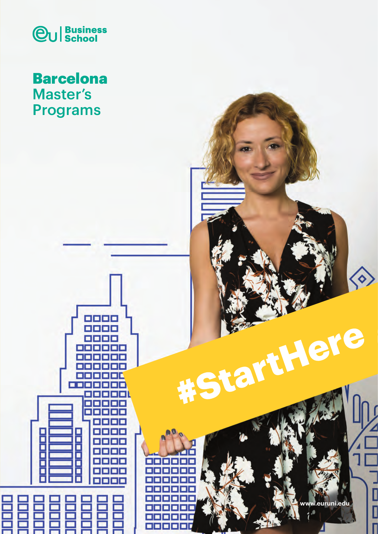

## Barcelona Master's Programs

8888<br>8888

. .

П

П

Г

∎

□

li single

П

П ooo

п

e e e e

s s s s

**Exper** 

n n n n

Е

о

eleia

H

ana



I Start Lere

 $\bullet$ 

Ι

I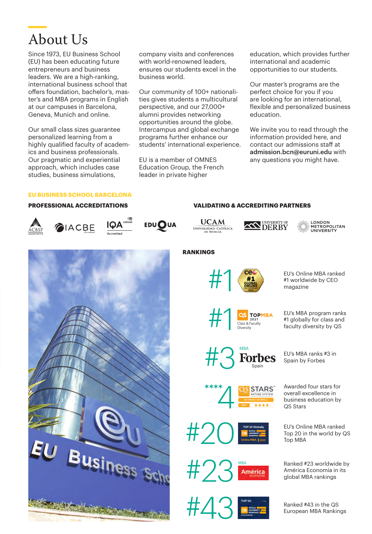## About Us

Since 1973, EU Business School (EU) has been educating future entrepreneurs and business leaders. We are a high-ranking, international business school that offers foundation, bachelor's, master's and MBA programs in English at our campuses in Barcelona, Geneva, Munich and online.

Our small class sizes guarantee personalized learning from a highly qualified faculty of academics and business professionals. Our pragmatic and experiential approach, which includes case studies, business simulations,

company visits and conferences with world-renowned leaders. ensures our students excel in the business world.

Our community of 100+ nationalities gives students a multicultural perspective, and our 27,000+ alumni provides networking opportunities around the globe. Intercampus and global exchange programs further enhance our students' international experience.

EU is a member of OMNES Education Group, the French leader in private higher

education, which provides further international and academic opportunities to our students.

Our master's programs are the perfect choice for you if you are looking for an international, flexible and personalized business education.

We invite you to read through the information provided here, and contact our admissions staff at admission.bcn@euruni.edu with any questions you might have.

### **EU BUSINESS SCHOOL BARCELONA**

#### **PROFESSIONAL ACCREDITATIONS**













**VALIDATING & ACCREDITING PARTNERS**

LONDON<br>· METROPOLITAN<br>UNIVERSITY



**RANKINGS**



EU's Online MBA ranked<br>
#1 worldwide by CEO<br>
magazine<br>
magazine #1 worldwide by CEO magazine

> #1 globally for class and Faculty **dividends** and the Class & Faculty by QS Class **of Class Article Class Article**<br>Class & Faculty **diversity** by QS



**TOP 20 Globally Online MBA** | **2021**

**STARS** 

MBA

Awarded four stars for overall excellence in business education by QS Stars

EU's Online MBA ranked Top 20 in the world by QS Top MBA

Ranked #23 worldwide by<br>América Economía in its América Ranked #23 worldwide b<br>América Economía in its<br>global MBA rankings



Ranked #43 in the QS European MBA Rankings





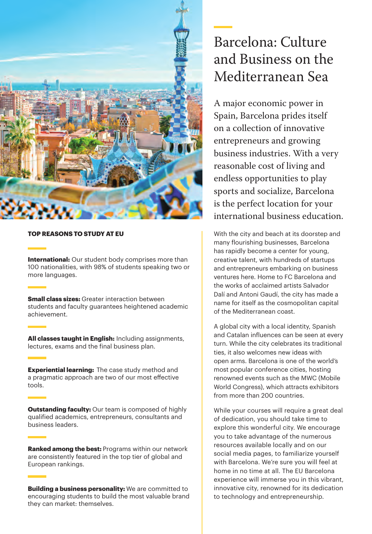

### **TOP REASONS TO STUDY AT EU**

**International:** Our student body comprises more than 100 nationalities, with 98% of students speaking two or more languages.

**Small class sizes:** Greater interaction between students and faculty guarantees heightened academic achievement.

**All classes taught in English:** Including assignments, lectures, exams and the final business plan.

**Experiential learning:** The case study method and a pragmatic approach are two of our most effective tools.

**Outstanding faculty:** Our team is composed of highly qualified academics, entrepreneurs, consultants and business leaders.

**Ranked among the best:** Programs within our network are consistently featured in the top tier of global and European rankings.

**Building a business personality:** We are committed to encouraging students to build the most valuable brand they can market: themselves.

## Barcelona: Culture and Business on the Mediterranean Sea

A major economic power in Spain, Barcelona prides itself on a collection of innovative entrepreneurs and growing business industries. With a very reasonable cost of living and endless opportunities to play sports and socialize, Barcelona is the perfect location for your international business education.

With the city and beach at its doorstep and many flourishing businesses, Barcelona has rapidly become a center for young, creative talent, with hundreds of startups and entrepreneurs embarking on business ventures here. Home to FC Barcelona and the works of acclaimed artists Salvador Dalí and Antoni Gaudí, the city has made a name for itself as the cosmopolitan capital of the Mediterranean coast.

A global city with a local identity, Spanish and Catalan influences can be seen at every turn. While the city celebrates its traditional ties, it also welcomes new ideas with open arms. Barcelona is one of the world's most popular conference cities, hosting renowned events such as the MWC (Mobile World Congress), which attracts exhibitors from more than 200 countries.

While your courses will require a great deal of dedication, you should take time to explore this wonderful city. We encourage you to take advantage of the numerous resources available locally and on our social media pages, to familiarize yourself with Barcelona. We're sure you will feel at home in no time at all. The EU Barcelona experience will immerse you in this vibrant, innovative city, renowned for its dedication to technology and entrepreneurship.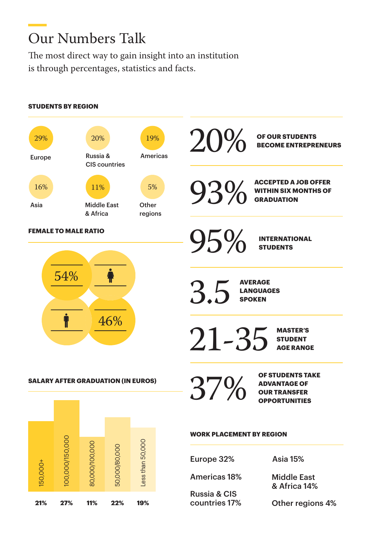# Our Numbers Talk

The most direct way to gain insight into an institution is through percentages, statistics and facts.

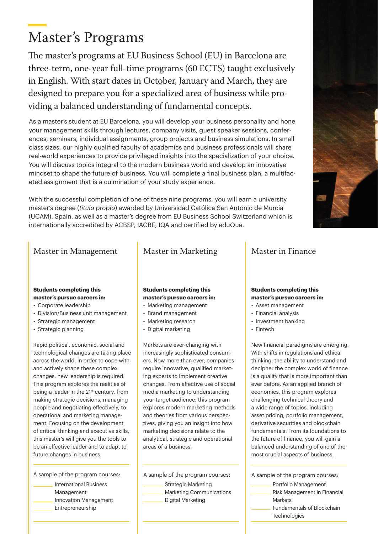# Master's Programs

The master's programs at EU Business School (EU) in Barcelona are three-term, one-year full-time programs (60 ECTS) taught exclusively in English. With start dates in October, January and March, they are designed to prepare you for a specialized area of business while providing a balanced understanding of fundamental concepts.

As a master's student at EU Barcelona, you will develop your business personality and hone your management skills through lectures, company visits, guest speaker sessions, conferences, seminars, individual assignments, group projects and business simulations. In small class sizes, our highly qualified faculty of academics and business professionals will share real-world experiences to provide privileged insights into the specialization of your choice. You will discuss topics integral to the modern business world and develop an innovative mindset to shape the future of business. You will complete a final business plan, a multifaceted assignment that is a culmination of your study experience.

With the successful completion of one of these nine programs, you will earn a university master's degree (*título propio*) awarded by Universidad Católica San Antonio de Murcia (UCAM), Spain, as well as a master's degree from EU Business School Switzerland which is internationally accredited by ACBSP, IACBE, IQA and certified by eduQua.



### Master in Management Master in Marketing

## **Students completing this**

#### **master's pursue careers in:**

- Corporate leadership
- Division/Business unit management
- Strategic management
- Strategic planning

Rapid political, economic, social and technological changes are taking place across the world. In order to cope with and actively shape these complex changes, new leadership is required. This program explores the realities of being a leader in the 21<sup>st</sup> century, from making strategic decisions, managing people and negotiating effectively, to operational and marketing management. Focusing on the development of critical thinking and executive skills, this master's will give you the tools to be an effective leader and to adapt to future changes in business.

A sample of the program courses:

- International Business Management
- Innovation Management
- Entrepreneurship

#### **Students completing this master's pursue careers in:**

- Marketing management
- Brand management
- Marketing research
- Digital marketing

Markets are ever-changing with increasingly sophisticated consumers. Now more than ever, companies require innovative, qualified marketing experts to implement creative changes. From effective use of social media marketing to understanding your target audience, this program explores modern marketing methods and theories from various perspectives, giving you an insight into how marketing decisions relate to the analytical, strategic and operational areas of a business.

A sample of the program courses:

- Strategic Marketing Marketing Communications
- Digital Marketing

### Master in Finance

#### **Students completing this master's pursue careers in:**

- Asset management
- Financial analysis
- Investment banking
- Fintech

New financial paradigms are emerging. With shifts in regulations and ethical thinking, the ability to understand and decipher the complex world of finance is a quality that is more important than ever before. As an applied branch of economics, this program explores challenging technical theory and a wide range of topics, including asset pricing, portfolio management, derivative securities and blockchain fundamentals. From its foundations to the future of finance, you will gain a balanced understanding of one of the most crucial aspects of business.

A sample of the program courses:

- Portfolio Management Risk Management in Financial Markets Fundamentals of Blockchain
	- **Technologies**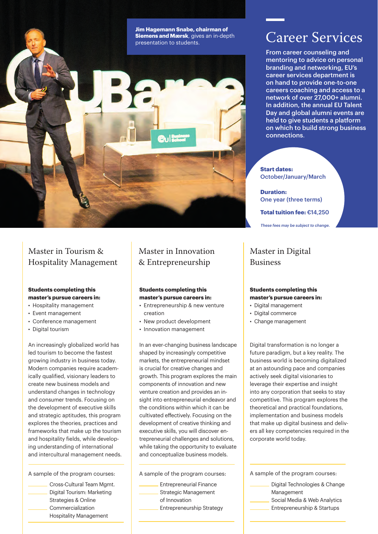

### Master in Tourism & Hospitality Management

#### **Students completing this master's pursue careers in:**

- Hospitality management
- Event management
- Conference management
- Digital tourism

An increasingly globalized world has led tourism to become the fastest growing industry in business today. Modern companies require academically qualified, visionary leaders to create new business models and understand changes in technology and consumer trends. Focusing on the development of executive skills and strategic aptitudes, this program explores the theories, practices and frameworks that make up the tourism and hospitality fields, while developing understanding of international and intercultural management needs.

A sample of the program courses:

Cross-Cultural Team Mgmt. Digital Tourism: Marketing Strategies & Online Commercialization Hospitality Management

### Master in Innovation & Entrepreneurship

#### **Students completing this master's pursue careers in:**

- Entrepreneurship & new venture creation
- New product development
- Innovation management

In an ever-changing business landscape shaped by increasingly competitive markets, the entrepreneurial mindset is crucial for creative changes and growth. This program explores the main components of innovation and new venture creation and provides an insight into entrepreneurial endeavor and the conditions within which it can be cultivated effectively. Focusing on the development of creative thinking and executive skills, you will discover entrepreneurial challenges and solutions, while taking the opportunity to evaluate and conceptualize business models.

A sample of the program courses:

Entrepreneurial Finance Strategic Management of Innovation Entrepreneurship Strategy

## Career Services

From career counseling and mentoring to advice on personal branding and networking, EU's career services department is on hand to provide one-to-one careers coaching and access to a network of over 27,000+ alumni. In addition, the annual EU Talent Day and global alumni events are held to give students a platform on which to build strong business connections.

#### **Start dates:** October/January/March

**Duration:** One year (three terms)

**Total tuition fee:** €14,250

*These fees may be subject to change.*

### Master in Digital Business

#### **Students completing this master's pursue careers in:**

- Digital management
- Digital commerce
- Change management

Digital transformation is no longer a future paradigm, but a key reality. The business world is becoming digitalized at an astounding pace and companies actively seek digital visionaries to leverage their expertise and insight into any corporation that seeks to stay competitive. This program explores the theoretical and practical foundations, implementation and business models that make up digital business and delivers all key competencies required in the corporate world today.

A sample of the program courses:

- Digital Technologies & Change Management
- Social Media & Web Analytics
- Entrepreneurship & Startups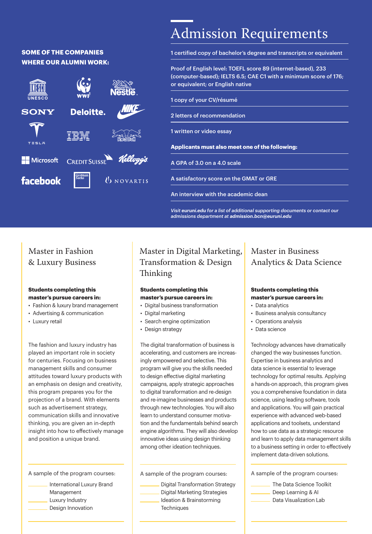### **SOME OF THE COMPANIES WHERE OUR ALUMNI WORK:**



## Admission Requirements

1 certified copy of bachelor's degree and transcripts or equivalent

Proof of English level: TOEFL score 89 (internet-based), 233 (computer-based); IELTS 6.5; CAE C1 with a minimum score of 176; or equivalent; or English native

1 copy of your CV/résumé

2 letters of recommendation

1 written or video essay

**Applicants must also meet one of the following:**

A GPA of 3.0 on a 4.0 scale

A satisfactory score on the GMAT or GRE

An interview with the academic dean

*Visit euruni.edu for a list of additional supporting documents or contact our admissions department at admission.bcn@euruni.edu*

### Master in Fashion & Luxury Business

#### **Students completing this master's pursue careers in:**

- Fashion & luxury brand management
- Advertising & communication
- Luxury retail

The fashion and luxury industry has played an important role in society for centuries. Focusing on business management skills and consumer attitudes toward luxury products with an emphasis on design and creativity, this program prepares you for the projection of a brand. With elements such as advertisement strategy, communication skills and innovative thinking, you are given an in-depth insight into how to effectively manage and position a unique brand.

A sample of the program courses:

International Luxury Brand Management Luxury Industry Design Innovation

### Master in Digital Marketing, Transformation & Design Thinking

#### **Students completing this master's pursue careers in:**

- Digital business transformation
- Digital marketing
- Search engine optimization
- Design strategy

The digital transformation of business is accelerating, and customers are increasingly empowered and selective. This program will give you the skills needed to design effective digital marketing campaigns, apply strategic approaches to digital transformation and re-design and re-imagine businesses and products through new technologies. You will also learn to understand consumer motivation and the fundamentals behind search engine algorithms. They will also develop innovative ideas using design thinking among other ideation techniques.

A sample of the program courses:

Digital Transformation Strategy Digital Marketing Strategies Ideation & Brainstorming

### Master in Business Analytics & Data Science

#### **Students completing this master's pursue careers in:**

- Data analytics
- Business analysis consultancy
- Operations analysis
- Data science

Technology advances have dramatically changed the way businesses function. Expertise in business analytics and data science is essential to leverage technology for optimal results. Applying a hands-on approach, this program gives you a comprehensive foundation in data science, using leading software, tools and applications. You will gain practical experience with advanced web-based applications and toolsets, understand how to use data as a strategic resource and learn to apply data management skills to a business setting in order to effectively implement data-driven solutions.

A sample of the program courses:

- The Data Science Toolkit Deep Learning & AI
- Data Visualization Lab

**Techniques**